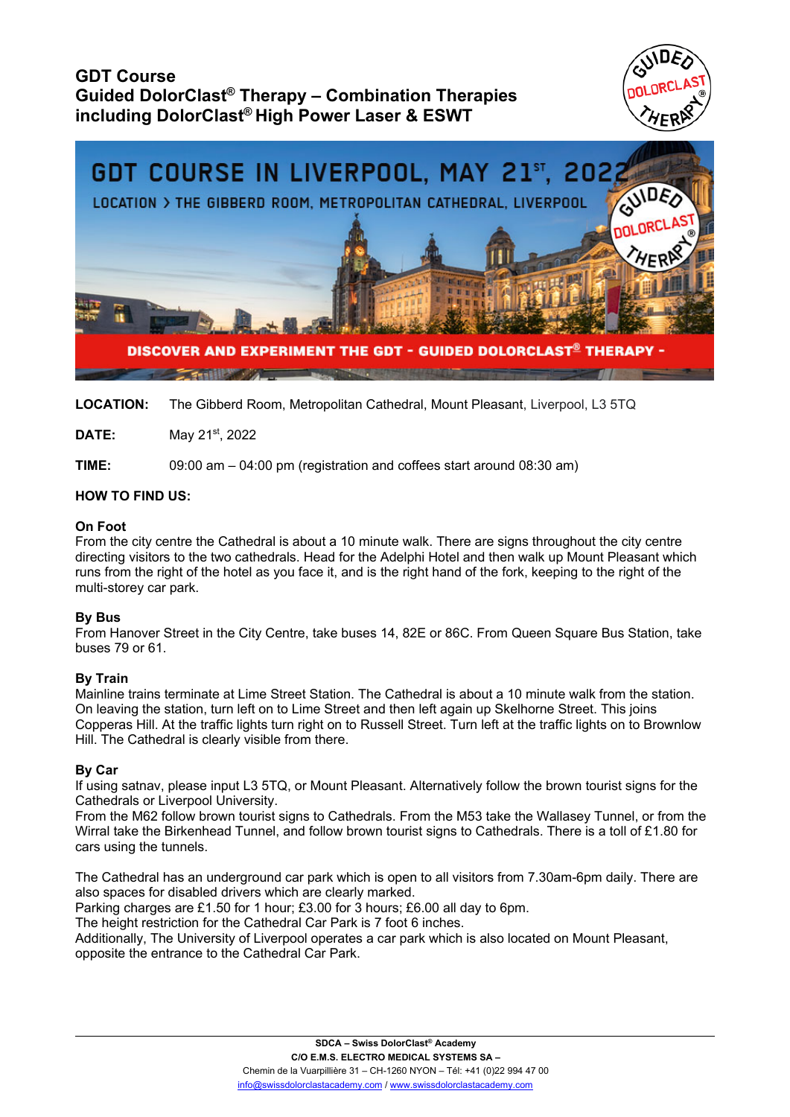



**LOCATION:** The Gibberd Room, Metropolitan Cathedral, Mount Pleasant, Liverpool, L3 5TQ

**DATE:** May 21st, 2022

**TIME:** 09:00 am – 04:00 pm (registration and coffees start around 08:30 am)

# **HOW TO FIND US:**

## **On Foot**

From the city centre the Cathedral is about a 10 minute walk. There are signs throughout the city centre directing visitors to the two cathedrals. Head for the Adelphi Hotel and then walk up Mount Pleasant which runs from the right of the hotel as you face it, and is the right hand of the fork, keeping to the right of the multi-storey car park.

## **By Bus**

From Hanover Street in the City Centre, take buses 14, 82E or 86C. From Queen Square Bus Station, take buses 79 or 61.

## **By Train**

Mainline trains terminate at Lime Street Station. The Cathedral is about a 10 minute walk from the station. On leaving the station, turn left on to Lime Street and then left again up Skelhorne Street. This joins Copperas Hill. At the traffic lights turn right on to Russell Street. Turn left at the traffic lights on to Brownlow Hill. The Cathedral is clearly visible from there.

## **By Car**

If using satnav, please input L3 5TQ, or Mount Pleasant. Alternatively follow the brown tourist signs for the Cathedrals or Liverpool University.

From the M62 follow brown tourist signs to Cathedrals. From the M53 take the Wallasey Tunnel, or from the Wirral take the Birkenhead Tunnel, and follow brown tourist signs to Cathedrals. There is a toll of £1.80 for cars using the tunnels.

The Cathedral has an underground car park which is open to all visitors from 7.30am-6pm daily. There are also spaces for disabled drivers which are clearly marked.

Parking charges are £1.50 for 1 hour; £3.00 for 3 hours; £6.00 all day to 6pm.

The height restriction for the Cathedral Car Park is 7 foot 6 inches.

Additionally, The University of Liverpool operates a car park which is also located on Mount Pleasant, opposite the entrance to the Cathedral Car Park.